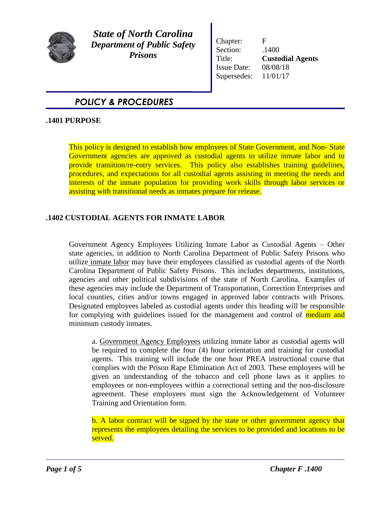

*State of North Carolina Department of Public Safety Prisons*

Chapter: F Section:  $.1400$ Title: **Custodial Agents**  Issue Date: 08/08/18 Supersedes: 11/01/17

# *POLICY & PROCEDURES*

## **.1401 PURPOSE**

This policy is designed to establish how employees of State Government, and Non- State Government agencies are approved as custodial agents to utilize inmate labor and to provide transition/re-entry services. This policy also establishes training guidelines, procedures, and expectations for all custodial agents assisting in meeting the needs and interests of the inmate population for providing work skills through labor services or assisting with transitional needs as inmates prepare for release.

# **.1402 CUSTODIAL AGENTS FOR INMATE LABOR**

Government Agency Employees Utilizing Inmate Labor as Custodial Agents – Other state agencies, in addition to North Carolina Department of Public Safety Prisons who utilize inmate labor may have their employees classified as custodial agents of the North Carolina Department of Public Safety Prisons. This includes departments, institutions, agencies and other political subdivisions of the state of North Carolina. Examples of these agencies may include the Department of Transportation, Correction Enterprises and local counties, cities and/or towns engaged in approved labor contracts with Prisons. Designated employees labeled as custodial agents under this heading will be responsible for complying with guidelines issued for the management and control of medium and minimum custody inmates.

a. Government Agency Employees utilizing inmate labor as custodial agents will be required to complete the four (4) hour orientation and training for custodial agents. This training will include the one hour PREA instructional course that complies with the Prison Rape Elimination Act of 2003. These employees will be given an understanding of the tobacco and cell phone laws as it applies to employees or non-employees within a correctional setting and the non-disclosure agreement. These employees must sign the Acknowledgement of Volunteer Training and Orientation form.

b. A labor contract will be signed by the state or other government agency that represents the employees detailing the services to be provided and locations to be served.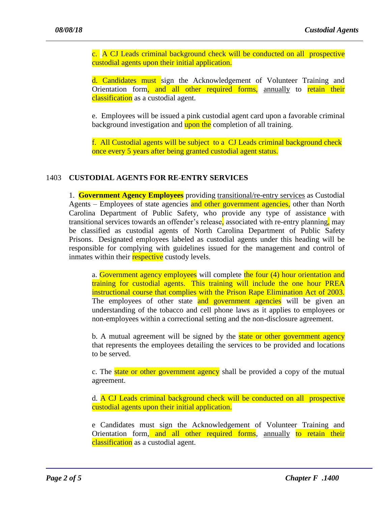c. A CJ Leads criminal background check will be conducted on all prospective custodial agents upon their initial application.

d. Candidates must sign the Acknowledgement of Volunteer Training and Orientation form, and all other required forms, annually to retain their classification as a custodial agent.

e. Employees will be issued a pink custodial agent card upon a favorable criminal background investigation and upon the completion of all training.

f. All Custodial agents will be subject to a CJ Leads criminal background check once every 5 years after being granted custodial agent status.

#### 1403 **CUSTODIAL AGENTS FOR RE-ENTRY SERVICES**

1. **Government Agency Employees** providing transitional/re-entry services as Custodial Agents – Employees of state agencies and other government agencies, other than North Carolina Department of Public Safety, who provide any type of assistance with transitional services towards an offender's release, associated with re-entry planning, may be classified as custodial agents of North Carolina Department of Public Safety Prisons. Designated employees labeled as custodial agents under this heading will be responsible for complying with guidelines issued for the management and control of inmates within their **respective** custody levels.

a. Government agency employees will complete the four (4) hour orientation and training for custodial agents. This training will include the one hour PREA instructional course that complies with the Prison Rape Elimination Act of 2003. The employees of other state and government agencies will be given an understanding of the tobacco and cell phone laws as it applies to employees or non-employees within a correctional setting and the non-disclosure agreement.

b. A mutual agreement will be signed by the **state or other government agency** that represents the employees detailing the services to be provided and locations to be served.

c. The **state or other government agency** shall be provided a copy of the mutual agreement.

d. A CJ Leads criminal background check will be conducted on all prospective custodial agents upon their initial application.

e Candidates must sign the Acknowledgement of Volunteer Training and Orientation form, and all other required forms, annually to retain their classification as a custodial agent.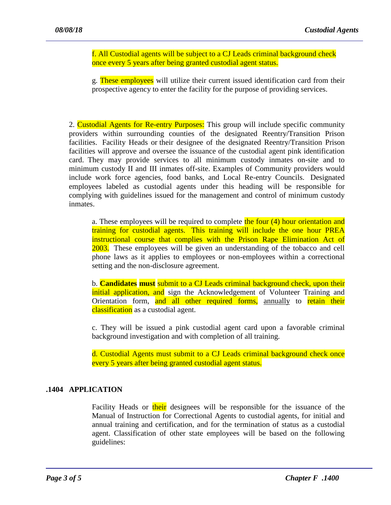f. All Custodial agents will be subject to a CJ Leads criminal background check once every 5 years after being granted custodial agent status.

g. These employees will utilize their current issued identification card from their prospective agency to enter the facility for the purpose of providing services.

2. Custodial Agents for Re-entry Purposes: This group will include specific community providers within surrounding counties of the designated Reentry/Transition Prison facilities. Facility Heads or their designee of the designated Reentry/Transition Prison facilities will approve and oversee the issuance of the custodial agent pink identification card. They may provide services to all minimum custody inmates on-site and to minimum custody II and III inmates off-site. Examples of Community providers would include work force agencies, food banks, and Local Re-entry Councils. Designated employees labeled as custodial agents under this heading will be responsible for complying with guidelines issued for the management and control of minimum custody inmates.

a. These employees will be required to complete the four (4) hour orientation and training for custodial agents. This training will include the one hour PREA instructional course that complies with the Prison Rape Elimination Act of 2003. These employees will be given an understanding of the tobacco and cell phone laws as it applies to employees or non-employees within a correctional setting and the non-disclosure agreement.

b. **Candidates must** submit to a CJ Leads criminal background check, upon their initial application, and sign the Acknowledgement of Volunteer Training and Orientation form, and all other required forms, annually to retain their classification as a custodial agent.

c. They will be issued a pink custodial agent card upon a favorable criminal background investigation and with completion of all training.

d. Custodial Agents must submit to a CJ Leads criminal background check once every 5 years after being granted custodial agent status.

## **.1404 APPLICATION**

Facility Heads or their designees will be responsible for the issuance of the Manual of Instruction for Correctional Agents to custodial agents, for initial and annual training and certification, and for the termination of status as a custodial agent. Classification of other state employees will be based on the following guidelines: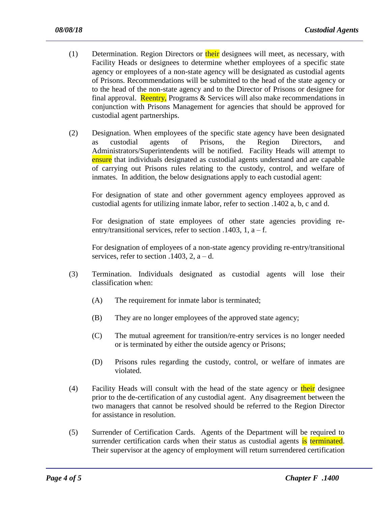- (1) Determination. Region Directors or their designees will meet, as necessary, with Facility Heads or designees to determine whether employees of a specific state agency or employees of a non-state agency will be designated as custodial agents of Prisons. Recommendations will be submitted to the head of the state agency or to the head of the non-state agency and to the Director of Prisons or designee for final approval. **Reentry,** Programs  $\&$  Services will also make recommendations in conjunction with Prisons Management for agencies that should be approved for custodial agent partnerships.
- (2) Designation. When employees of the specific state agency have been designated as custodial agents of Prisons, the Region Directors, and Administrators/Superintendents will be notified. Facility Heads will attempt to ensure that individuals designated as custodial agents understand and are capable of carrying out Prisons rules relating to the custody, control, and welfare of inmates. In addition, the below designations apply to each custodial agent:

For designation of state and other government agency employees approved as custodial agents for utilizing inmate labor, refer to section .1402 a, b, c and d.

For designation of state employees of other state agencies providing reentry/transitional services, refer to section .1403, 1,  $a - f$ .

For designation of employees of a non-state agency providing re-entry/transitional services, refer to section  $.1403$ , 2, a – d.

- (3) Termination. Individuals designated as custodial agents will lose their classification when:
	- (A) The requirement for inmate labor is terminated;
	- (B) They are no longer employees of the approved state agency;
	- (C) The mutual agreement for transition/re-entry services is no longer needed or is terminated by either the outside agency or Prisons;
	- (D) Prisons rules regarding the custody, control, or welfare of inmates are violated.
- (4) Facility Heads will consult with the head of the state agency or their designee prior to the de-certification of any custodial agent. Any disagreement between the two managers that cannot be resolved should be referred to the Region Director for assistance in resolution.
- (5) Surrender of Certification Cards. Agents of the Department will be required to surrender certification cards when their status as custodial agents is terminated. Their supervisor at the agency of employment will return surrendered certification